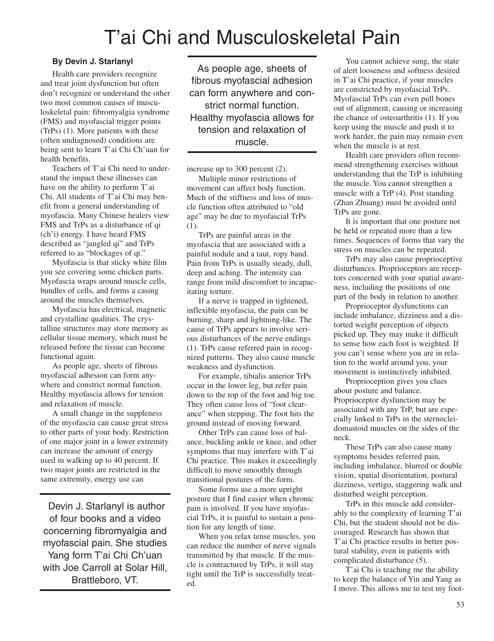# T'ai Chi and Musculoskeletal Pain

# **By Devin J. Starlanyl**

Health care providers recognize and treat joint dysfunction but often don't recognize or understand the other two most common causes of musculoskeletal pain: fibromyalgia syndrome (FMS) and myofascial trigger points (TrPs) (1). More patients with these (often undiagnosed) conditions are being sent to learn T'ai Chi Ch'uan for health benefits.

Teachers of T'ai Chi need to understand the impact these illnesses can have on the ability to perform T'ai Chi. All students of T'ai Chi may benefit from a general understanding of myofascia. Many Chinese healers view FMS and TrPs as a disturbance of qi (ch'i) energy. I have heard FMS described as "jangled qi" and TrPs referred to as "blockages of qi."

Myofascia is that sticky white film you see covering some chicken parts. Myofascia wraps around muscle cells, bundles of cells, and forms a casing around the muscles themselves.

Myofascia has electrical, magnetic and crystalline qualities. The crystalline structures may store memory as cellular tissue memory, which must be released before the tissue can become functional again.

As people age, sheets of fibrous myofascial adhesion can form anywhere and constrict normal function. Healthy myofascia allows for tension and relaxation of muscle.

A small change in the suppleness of the myofascia can cause great stress to other parts of your body. Restriction of one major joint in a lower extremity can increase the amount of energy used in walking up to 40 percent. If two major joints are restricted in the same extremity, energy use can

Devin J. Starlanyl is author of four books and a video concerning fibromyalgia and myofascial pain. She studies Yang form T'ai Chi Ch'uan with Joe Carroll at Solar Hill, Brattleboro, VT.

As people age, sheets of fibrous myofascial adhesion can form anywhere and constrict normal function. Healthy myofascia allows for tension and relaxation of muscle.

increase up to 300 percent (2).

Multiple minor restrictions of movement can affect body function. Much of the stiffness and loss of muscle function often attributed to "old age" may be due to myofascial TrPs (1).

TrPs are painful areas in the myofascia that are associated with a painful nodule and a taut, ropy band. Pain from TrPs is usually steady, dull, deep and aching. The intensity can range from mild discomfort to incapacitating torture.

If a nerve is trapped in tightened, inflexible myofascia, the pain can be burning, sharp and lightning-like. The cause of TrPs appears to involve serious disturbances of the nerve endings (1). TrPs cause referred pain in recognized patterns. They also cause muscle weakness and dysfunction.

For example, tibialis anterior TrPs occur in the lower leg, but refer pain down to the top of the foot and big toe. They often cause loss of "foot clearance" when stepping. The foot hits the ground instead of moving forward.

Other TrPs can cause loss of balance, buckling ankle or knee, and other symptoms that may interfere with T'ai Chi practice. This makes it exceedingly difficult to move smoothly through transitional postures of the form.

Some forms use a more upright posture that I find easier when chronic pain is involved. If you have myofascial TrPs, it is painful to sustain a position for any length of time.

When you relax tense muscles, you can reduce the number of nerve signals transmitted by that muscle. If the muscle is contractured by TrPs, it will stay tight until the TrP is successfully treated.

You cannot achieve sung, the state of alert looseness and softness desired in T'ai Chi practice, if your muscles are constricted by myofascial TrPs. Myofascial TrPs can even pull bones out of alignment, causing or increasing the chance of osteoarthritis (1). If you keep using the muscle and push it to work harder, the pain may remain even when the muscle is at rest.

Health care providers often recommend strengthening exercises without understanding that the TrP is inhibiting the muscle. You cannot strengthen a muscle with a TrP (4). Post standing (Zhan Zhuang) must be avoided until TrPs are gone.

It is important that one posture not be held or repeated more than a few times. Sequences of forms that vary the stress on muscles can be repeated.

TrPs may also cause proprioceptive disturbances. Proprioceptors are receptors concerned with your spatial awareness, including the positions of one part of the body in relation to another.

Proprioceptor dysfunctions can include imbalance, dizziness and a distorted weight perception of objects picked up. They may make it difficult to sense how each foot is weighted. If you can't sense where you are in relation to the world around you, your movement is instinctively inhibited.

Proprioception gives you clues about posture and balance. Proprioceptor dysfunction may be associated with any TrP, but are especially linked to TrPs in the sternocleidomastoid muscles on the sides of the neck.

These TrPs can also cause many symptoms besides referred pain, including imbalance, blurred or double vision, spatial disorientation, postural dizziness, vertigo, staggering walk and disturbed weight perception.

TrPs in this muscle add considerably to the complexity of learning T'ai Chi, but the student should not be discouraged. Research has shown that T'ai Chi practice results in better postural stability, even in patients with complicated disturbance (5).

T'ai Chi is teaching me the ability to keep the balance of Yin and Yang as I move. This allows me to test my foot-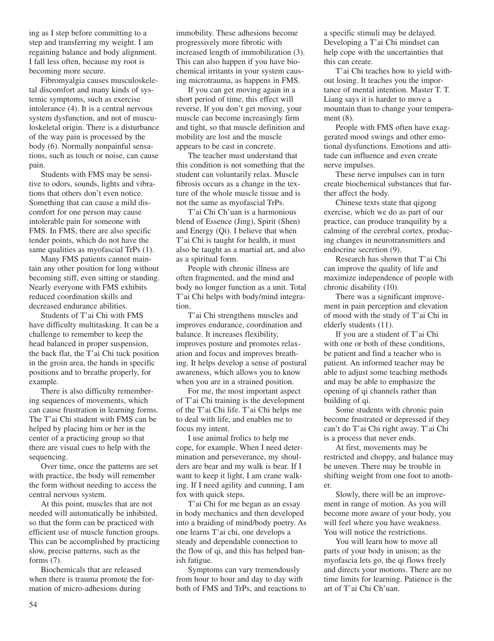ing as I step before committing to a step and transferring my weight. I am regaining balance and body alignment. I fall less often, because my root is becoming more secure.

Fibromyalgia causes musculoskeletal discomfort and many kinds of systemic symptoms, such as exercise intolerance (4). It is a central nervous system dysfunction, and not of musculoskeletal origin. There is a disturbance of the way pain is processed by the body (6). Normally nonpainful sensations, such as touch or noise, can cause pain.

Students with FMS may be sensitive to odors, sounds, lights and vibrations that others don't even notice. Something that can cause a mild discomfort for one person may cause intolerable pain for someone with FMS. In FMS, there are also specific tender points, which do not have the same qualities as myofascial TrPs (1).

Many FMS patients cannot maintain any other position for long without becoming stiff, even sitting or standing. Nearly everyone with FMS exhibits reduced coordination skills and decreased endurance abilities.

Students of T'ai Chi with FMS have difficulty multitasking. It can be a challenge to remember to keep the head balanced in proper suspension, the back flat, the T'ai Chi tuck position in the groin area, the hands in specific positions and to breathe properly, for example.

There is also difficulty remembering sequences of movements, which can cause frustration in learning forms. The T'ai Chi student with FMS can be helped by placing him or her in the center of a practicing group so that there are visual cues to help with the sequencing.

Over time, once the patterns are set with practice, the body will remember the form without needing to access the central nervous system.

At this point, muscles that are not needed will automatically be inhibited, so that the form can be practiced with efficient use of muscle function groups. This can be accomplished by practicing slow, precise patterns, such as the forms (7).

Biochemicals that are released when there is trauma promote the formation of micro-adhesions during

immobility. These adhesions become progressively more fibrotic with increased length of immobilization (3). This can also happen if you have biochemical irritants in your system causing microtrauma, as happens in FMS.

If you can get moving again in a short period of time, this effect will reverse. If you don't get moving, your muscle can become increasingly firm and tight, so that muscle definition and mobility are lost and the muscle appears to be cast in concrete.

The teacher must understand that this condition is not something that the student can voluntarily relax. Muscle fibrosis occurs as a change in the texture of the whole muscle tissue and is not the same as myofascial TrPs.

T'ai Chi Ch'uan is a harmonious blend of Essence (Jing), Spirit (Shen) and Energy (Qi). I believe that when T'ai Chi is taught for health, it must also be taught as a martial art, and also as a spiritual form.

People with chronic illness are often fragmented, and the mind and body no longer function as a unit. Total T'ai Chi helps with body/mind integration.

T'ai Chi strengthens muscles and improves endurance, coordination and balance. It increases flexibility, improves posture and promotes relaxation and focus and improves breathing. It helps develop a sense of postural awareness, which allows you to know when you are in a strained position.

For me, the most important aspect of T'ai Chi training is the development of the T'ai Chi life. T'ai Chi helps me to deal with life, and enables me to focus my intent.

I use animal frolics to help me cope, for example. When I need determination and perseverance, my shoulders are bear and my walk is bear. If I want to keep it light, I am crane walking. If I need agility and cunning, I am fox with quick steps.

T'ai Chi for me began as an essay in body mechanics and then developed into a braiding of mind/body poetry. As one learns T'ai chi, one develops a steady and dependable connection to the flow of qi, and this has helped banish fatigue.

Symptoms can vary tremendously from hour to hour and day to day with both of FMS and TrPs, and reactions to a specific stimuli may be delayed. Developing a T'ai Chi mindset can help cope with the uncertainties that this can create.

T'ai Chi teaches how to yield without losing. It teaches you the importance of mental intention. Master T. T. Liang says it is harder to move a mountain than to change your temperament (8).

People with FMS often have exaggerated mood swings and other emotional dysfunctions. Emotions and attitude can influence and even create nerve impulses.

These nerve impulses can in turn create biochemical substances that further affect the body.

Chinese texts state that qigong exercise, which we do as part of our practice, can produce tranquility by a calming of the cerebral cortex, producing changes in neurotransmitters and endocrine secretion (9).

Research has shown that T'ai Chi can improve the quality of life and maximize independence of people with chronic disability (10).

There was a significant improvement in pain perception and elevation of mood with the study of T'ai Chi in elderly students (11).

If you are a student of T'ai Chi with one or both of these conditions. be patient and find a teacher who is patient. An informed teacher may be able to adjust some teaching methods and may be able to emphasize the opening of qi channels rather than building of qi.

Some students with chronic pain become frustrated or depressed if they can't do T'ai Chi right away. T'ai Chi is a process that never ends.

At first, movements may be restricted and choppy, and balance may be uneven. There may be trouble in shifting weight from one foot to another.

Slowly, there will be an improvement in range of motion. As you will become more aware of your body, you will feel where you have weakness. You will notice the restrictions.

You will learn how to move all parts of your body in unison; as the myofascia lets go, the qi flows freely and directs your motions. There are no time limits for learning. Patience is the art of T'ai Chi Ch'uan.